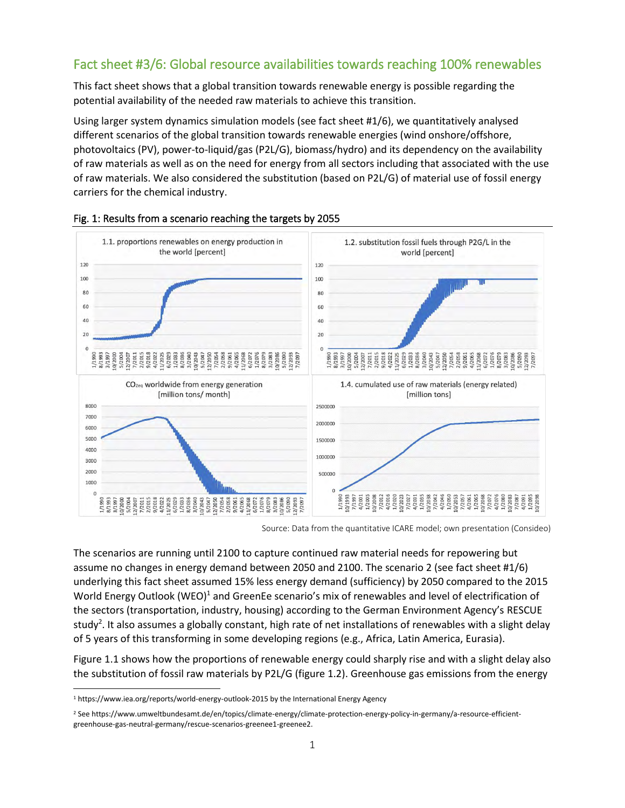## Fact sheet #3/6: Global resource availabilities towards reaching 100% renewables

This fact sheet shows that a global transition towards renewable energy is possible regarding the potential availability of the needed raw materials to achieve this transition.

Using larger system dynamics simulation models (see fact sheet #1/6), we quantitatively analysed different scenarios of the global transition towards renewable energies (wind onshore/offshore, photovoltaics (PV), power-to-liquid/gas (P2L/G), biomass/hydro) and its dependency on the availability of raw materials as well as on the need for energy from all sectors including that associated with the use of raw materials. We also considered the substitution (based on P2L/G) of material use of fossil energy carriers for the chemical industry.





Source: Data from the quantitative ICARE model; own presentation (Consideo)

The scenarios are running until 2100 to capture continued raw material needs for repowering but assume no changes in energy demand between 2050 and 2100. The scenario 2 (see fact sheet #1/6) underlying this fact sheet assumed 15% less energy demand (sufficiency) by 2050 compared to the 2015 World Energy Outlook (WEO)<sup>1</sup> and GreenEe scenario's mix of renewables and level of electrification of the sectors (transportation, industry, housing) according to the German Environment Agency's RESCUE study<sup>2</sup>. It also assumes a globally constant, high rate of net installations of renewables with a slight delay of 5 years of this transforming in some developing regions (e.g., Africa, Latin America, Eurasia).

Figure 1.1 shows how the proportions of renewable energy could sharply rise and with a slight delay also the substitution of fossil raw materials by P2L/G (figure 1.2). Greenhouse gas emissions from the energy

<sup>1</sup> https://www.iea.org/reports/world-energy-outlook-2015 by the International Energy Agency

<sup>2</sup> See https://www.umweltbundesamt.de/en/topics/climate-energy/climate-protection-energy-policy-in-germany/a-resource-efficientgreenhouse-gas-neutral-germany/rescue-scenarios-greenee1-greenee2.